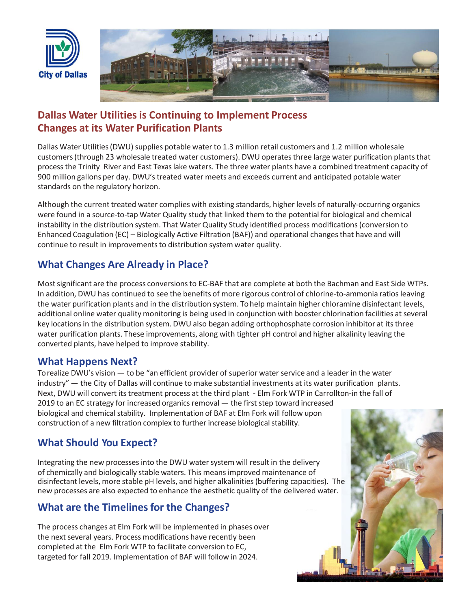



## **Dallas Water Utilities is Continuing to Implement Process Changes at its Water Purification Plants**

Dallas Water Utilities (DWU) supplies potable water to 1.3 million retail customers and 1.2 million wholesale customers (through 23 wholesale treated water customers). DWU operates three large water purification plants that process the Trinity River and East Texas lake waters. The three water plants have a combined treatment capacity of 900 million gallons per day. DWU's treated water meets and exceeds current and anticipated potable water standards on the regulatory horizon.

Although the current treated water complies with existing standards, higher levels of naturally-occurring organics were found in a source-to-tap Water Quality study that linked them to the potential for biological and chemical instability in the distribution system. That Water Quality Study identified process modifications(conversion to Enhanced Coagulation (EC) – Biologically Active Filtration (BAF)) and operational changes that have and will continue to result in improvements to distribution system water quality.

#### **What Changes Are Already in Place?**

Most significant are the process conversions to EC-BAF that are complete at both the Bachman and East Side WTPs. In addition, DWU has continued to see the benefits of more rigorous control of chlorine-to-ammonia ratios leaving the water purification plants and in the distribution system. To help maintain higher chloramine disinfectant levels, additional online water quality monitoring is being used in conjunction with booster chlorination facilities at several key locations in the distribution system. DWU also began adding orthophosphate corrosion inhibitor at its three water purification plants. These improvements, along with tighter pH control and higher alkalinity leaving the converted plants, have helped to improve stability.

#### **What Happens Next?**

To realize DWU's vision — to be "an efficient provider of superior water service and a leader in the water industry" — the City of Dallas will continue to make substantial investments at its water purification plants. Next, DWU will convert its treatment process at the third plant - Elm Fork WTP in Carrollton-in the fall of 2019 to an EC strategy for increased organics removal — the first step toward increased biological and chemical stability. Implementation of BAF at Elm Fork will follow upon construction of a new filtration complex to further increase biological stability.

### **What Should You Expect?**

Integrating the new processes into the DWU water system will result in the delivery of chemically and biologically stable waters. This means improved maintenance of disinfectant levels, more stable pH levels, and higher alkalinities (buffering capacities). The new processes are also expected to enhance the aesthetic quality of the delivered water.

### **What are the Timelines for the Changes?**

The process changes at Elm Fork will be implemented in phases over the next several years. Process modifications have recently been completed at the Elm Fork WTP to facilitate conversion to EC, targeted for fall 2019. Implementation of BAF will follow in 2024.